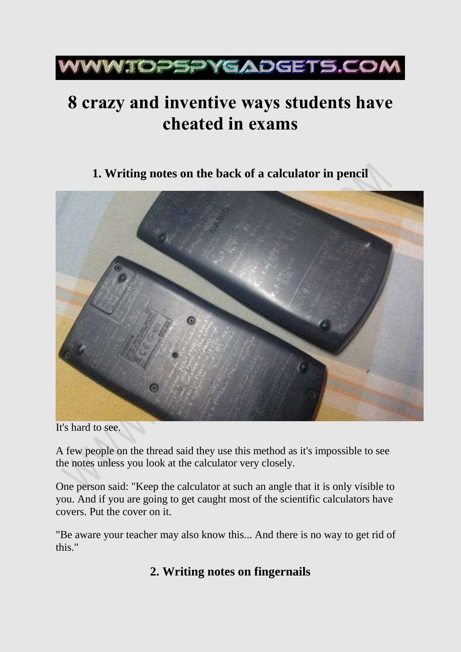

# **8 crazy and inventive ways students have cheated in exams**

**1. Writing notes on the back of a calculator in pencil**



It's hard to see.

A few people on the thread said they use this method as it's impossible to see the notes unless you look at the calculator very closely.

One person said: "Keep the calculator at such an angle that it is only visible to you. And if you are going to get caught most of the scientific calculators have covers. Put the cover on it.

"Be aware your teacher may also know this... And there is no way to get rid of this."

### **2. Writing notes on fingernails**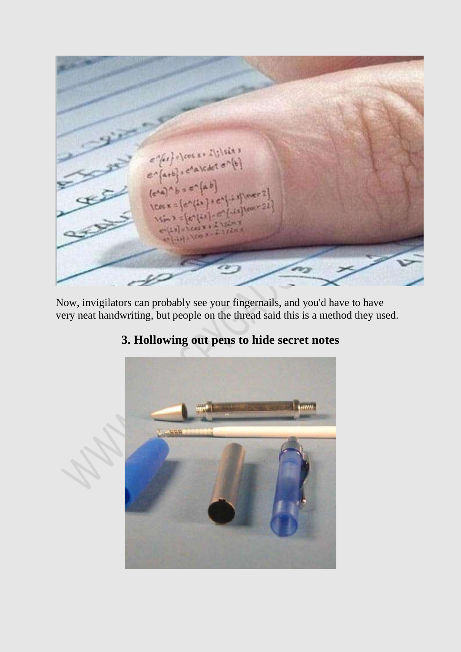

Now, invigilators can probably see your fingernails, and you'd have to have very neat handwriting, but people on the thread said this is a method they used.



### **3. Hollowing out pens to hide secret notes**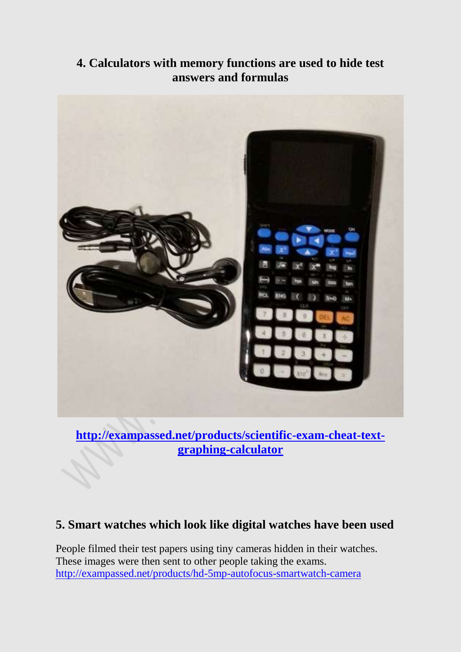#### **4. Calculators with memory functions are used to hide test answers and formulas**



**[http://exampassed.net/products/scientific-exam-cheat-text](http://exampassed.net/products/scientific-exam-cheat-text-graphing-calculator)[graphing-calculator](http://exampassed.net/products/scientific-exam-cheat-text-graphing-calculator)**

#### **5. Smart watches which look like digital watches have been used**

People filmed their test papers using tiny cameras hidden in their watches. These images were then sent to other people taking the exams. <http://exampassed.net/products/hd-5mp-autofocus-smartwatch-camera>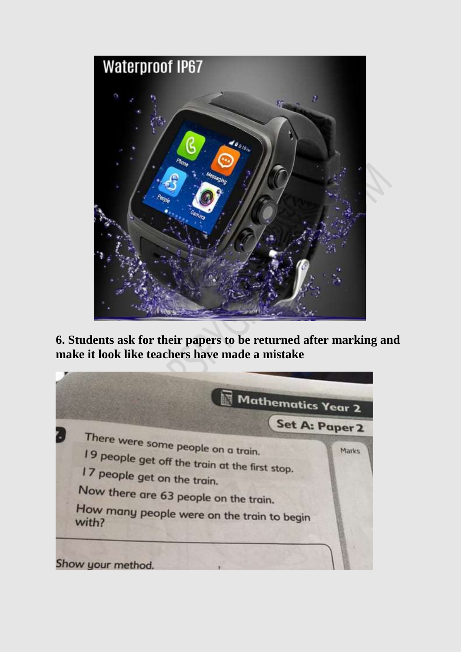

**6. Students ask for their papers to be returned after marking and make it look like teachers have made a mistake**

Mathematics Year 2 Set A: Paper 2 There were some people on a train. 19 people get off the train at the first stop.<br>17 people get on the train at the first stop. Marks 17 people get on the train. Now there are 63 people on the train. How many people were on the train to begin with? Show your method.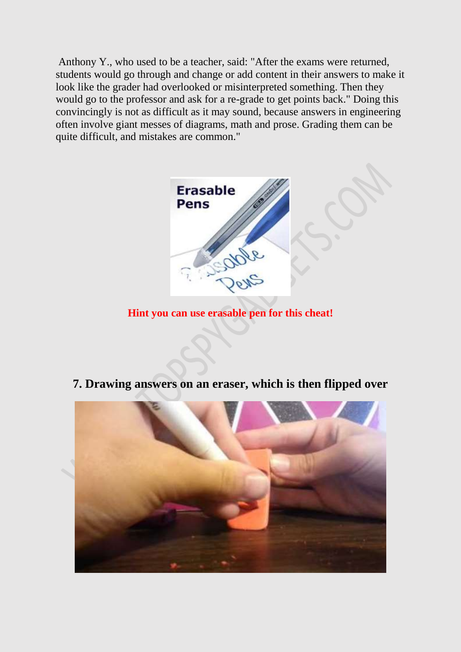Anthony Y., who used to be a teacher, said: "After the exams were returned, students would go through and change or add content in their answers to make it look like the grader had overlooked or misinterpreted something. Then they would go to the professor and ask for a re-grade to get points back." Doing this convincingly is not as difficult as it may sound, because answers in engineering often involve giant messes of diagrams, math and prose. Grading them can be quite difficult, and mistakes are common."



**Hint you can use erasable pen for this cheat!**

**7. Drawing answers on an eraser, which is then flipped over**